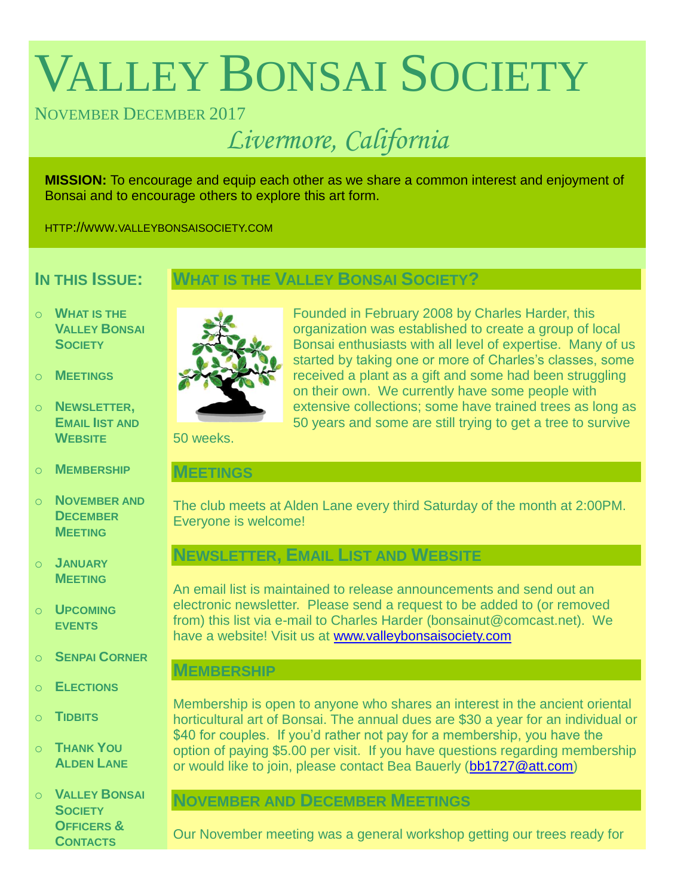# VALLEY BONSAI SOCIETY

## NOVEMBER DECEMBER 2017

## *Livermore, California*

**MISSION:** To encourage and equip each other as we share a common interest and enjoyment of Bonsai and to encourage others to explore this art form.

HTTP://WWW.VALLEYBONSAISOCIETY.COM

## **IN THIS ISSUE:**

### **WHAT IS THE VALLEY BONSAI SOCIETY?**

- o **WHAT IS THE VALLEY BONSAI SOCIETY**
- o **MEETINGS**
- o **NEWSLETTER, EMAIL IIST AND WEBSITE**
- o **MEMBERSHIP**
- o **NOVEMBER AND DECEMBER MEETING**
- o **JANUARY MEETING**
- o **UPCOMING EVENTS**
- o **SENPAI CORNER**
- o **ELECTIONS**
- o **TIDBITS**
- o **THANK YOU ALDEN LANE**
- o **VALLEY BONSAI SOCIETY OFFICERS & CONTACTS**



Founded in February 2008 by Charles Harder, this organization was established to create a group of local Bonsai enthusiasts with all level of expertise. Many of us started by taking one or more of Charles's classes, some received a plant as a gift and some had been struggling on their own. We currently have some people with extensive collections; some have trained trees as long as 50 years and some are still trying to get a tree to survive

50 weeks.

#### **MEETINGS**

The club meets at Alden Lane every third Saturday of the month at 2:00PM. Everyone is welcome!

## **NEWSLETTER, EMAIL LIST AND WEBSITE**

An email list is maintained to release announcements and send out an electronic newsletter. Please send a request to be added to (or removed from) this list via e-mail to Charles Harder (bonsainut@comcast.net). We have a website! Visit us at [www.valleybonsaisociety.com](http://www.valleybonsaisociety.com/)

#### **MEMBERSHIP**

Membership is open to anyone who shares an interest in the ancient oriental horticultural art of Bonsai. The annual dues are \$30 a year for an individual or \$40 for couples. If you'd rather not pay for a membership, you have the option of paying \$5.00 per visit. If you have questions regarding membership or would like to join, please contact Bea Bauerly [\(bb1727@att.com\)](mailto:bb1727@att.com)

## **NOVEMBER AND DECEMBER MEETINGS**

Our November meeting was a general workshop getting our trees ready for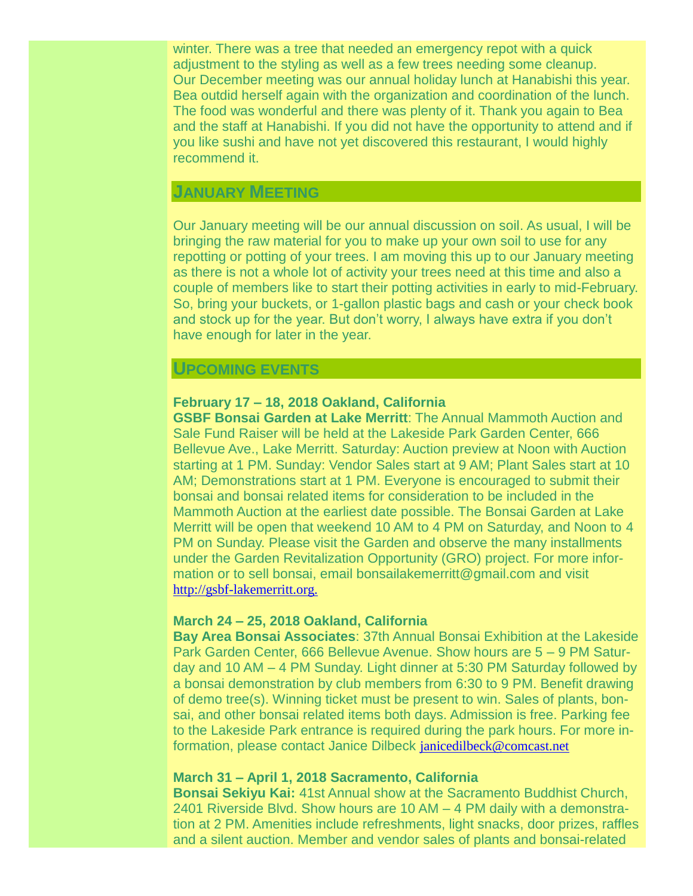winter. There was a tree that needed an emergency repot with a quick adjustment to the styling as well as a few trees needing some cleanup. Our December meeting was our annual holiday lunch at Hanabishi this year. Bea outdid herself again with the organization and coordination of the lunch. The food was wonderful and there was plenty of it. Thank you again to Bea and the staff at Hanabishi. If you did not have the opportunity to attend and if you like sushi and have not yet discovered this restaurant, I would highly recommend it.

#### **JANUARY MEETING**

Our January meeting will be our annual discussion on soil. As usual, I will be bringing the raw material for you to make up your own soil to use for any repotting or potting of your trees. I am moving this up to our January meeting as there is not a whole lot of activity your trees need at this time and also a couple of members like to start their potting activities in early to mid-February. So, bring your buckets, or 1-gallon plastic bags and cash or your check book and stock up for the year. But don't worry, I always have extra if you don't have enough for later in the year.

#### **UPCOMING EVENTS**

#### **February 17 – 18, 2018 Oakland, California**

**GSBF Bonsai Garden at Lake Merritt**: The Annual Mammoth Auction and Sale Fund Raiser will be held at the Lakeside Park Garden Center, 666 Bellevue Ave., Lake Merritt. Saturday: Auction preview at Noon with Auction starting at 1 PM. Sunday: Vendor Sales start at 9 AM; Plant Sales start at 10 AM; Demonstrations start at 1 PM. Everyone is encouraged to submit their bonsai and bonsai related items for consideration to be included in the Mammoth Auction at the earliest date possible. The Bonsai Garden at Lake Merritt will be open that weekend 10 AM to 4 PM on Saturday, and Noon to 4 PM on Sunday. Please visit the Garden and observe the many installments under the Garden Revitalization Opportunity (GRO) project. For more information or to sell bonsai, email bonsailakemerritt@gmail.com and visit [http://gsbf-lakemerritt.org.](http://gsbf-lakemerritt.org./)

#### **March 24 – 25, 2018 Oakland, California**

**Bay Area Bonsai Associates**: 37th Annual Bonsai Exhibition at the Lakeside Park Garden Center, 666 Bellevue Avenue. Show hours are 5 – 9 PM Saturday and 10 AM – 4 PM Sunday. Light dinner at 5:30 PM Saturday followed by a bonsai demonstration by club members from 6:30 to 9 PM. Benefit drawing of demo tree(s). Winning ticket must be present to win. Sales of plants, bonsai, and other bonsai related items both days. Admission is free. Parking fee to the Lakeside Park entrance is required during the park hours. For more information, please contact Janice Dilbeck [janicedilbeck@comcast.net](mailto:janicedilbeck@comcast.net)

#### **March 31 – April 1, 2018 Sacramento, California**

**Bonsai Sekiyu Kai:** 41st Annual show at the Sacramento Buddhist Church, 2401 Riverside Blvd. Show hours are 10 AM – 4 PM daily with a demonstration at 2 PM. Amenities include refreshments, light snacks, door prizes, raffles and a silent auction. Member and vendor sales of plants and bonsai-related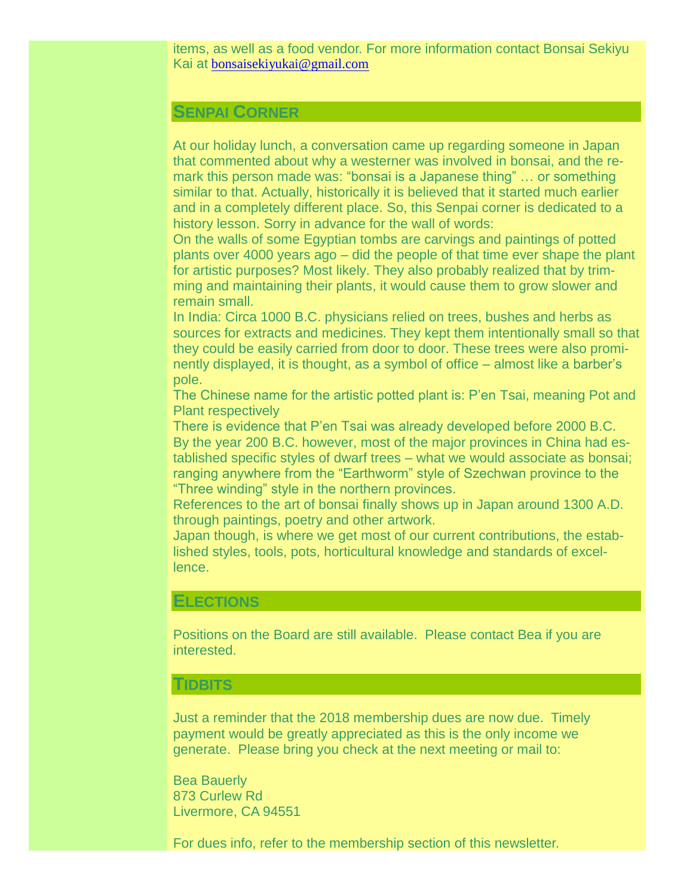items, as well as a food vendor. For more information contact Bonsai Sekiyu Kai at [bonsaisekiyukai@gmail.com](mailto:bonsaisekiyukai@gmail.com)

#### **SENPAI CORNER**

At our holiday lunch, a conversation came up regarding someone in Japan that commented about why a westerner was involved in bonsai, and the remark this person made was: "bonsai is a Japanese thing" … or something similar to that. Actually, historically it is believed that it started much earlier and in a completely different place. So, this Senpai corner is dedicated to a history lesson. Sorry in advance for the wall of words:

On the walls of some Egyptian tombs are carvings and paintings of potted plants over 4000 years ago – did the people of that time ever shape the plant for artistic purposes? Most likely. They also probably realized that by trimming and maintaining their plants, it would cause them to grow slower and remain small.

In India: Circa 1000 B.C. physicians relied on trees, bushes and herbs as sources for extracts and medicines. They kept them intentionally small so that they could be easily carried from door to door. These trees were also prominently displayed, it is thought, as a symbol of office – almost like a barber's pole.

The Chinese name for the artistic potted plant is: P'en Tsai, meaning Pot and Plant respectively

There is evidence that P'en Tsai was already developed before 2000 B.C. By the year 200 B.C. however, most of the major provinces in China had established specific styles of dwarf trees – what we would associate as bonsai; ranging anywhere from the "Earthworm" style of Szechwan province to the "Three winding" style in the northern provinces.

References to the art of bonsai finally shows up in Japan around 1300 A.D. through paintings, poetry and other artwork.

Japan though, is where we get most of our current contributions, the established styles, tools, pots, horticultural knowledge and standards of excellence.

#### **ELECTIONS**

Positions on the Board are still available. Please contact Bea if you are interested.

#### **TIDBITS**

Just a reminder that the 2018 membership dues are now due. Timely payment would be greatly appreciated as this is the only income we generate. Please bring you check at the next meeting or mail to:

Bea Bauerly 873 Curlew Rd Livermore, CA 94551

For dues info, refer to the membership section of this newsletter.